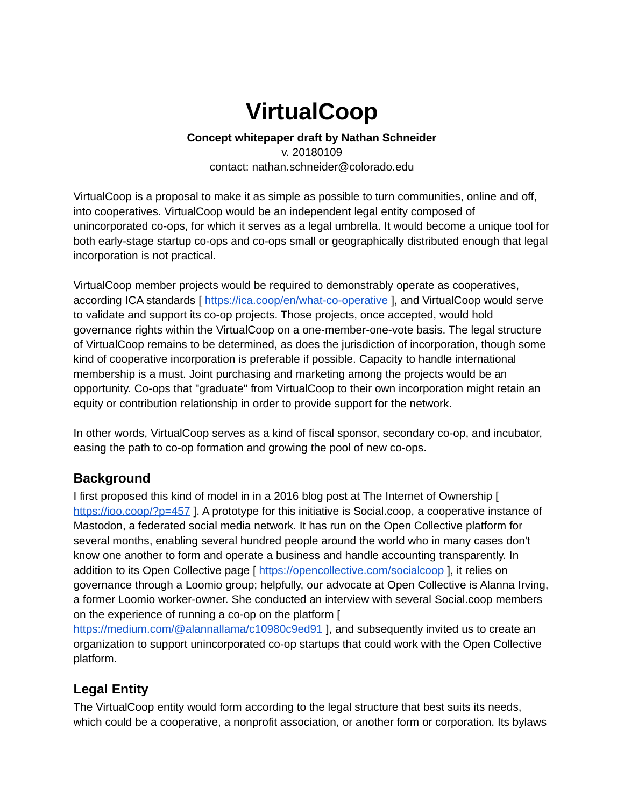# **VirtualCoop**

#### **Concept whitepaper draft by Nathan Schneider** v. 20180109 contact: nathan.schneider@colorado.edu

VirtualCoop is a proposal to make it as simple as possible to turn communities, online and off, into cooperatives. VirtualCoop would be an independent legal entity composed of unincorporated co-ops, for which it serves as a legal umbrella. It would become a unique tool for both early-stage startup co-ops and co-ops small or geographically distributed enough that legal incorporation is not practical.

VirtualCoop member projects would be required to demonstrably operate as cooperatives, according ICA standards [ <https://ica.coop/en/what-co-operative>], and VirtualCoop would serve to validate and support its co-op projects. Those projects, once accepted, would hold governance rights within the VirtualCoop on a one-member-one-vote basis. The legal structure of VirtualCoop remains to be determined, as does the jurisdiction of incorporation, though some kind of cooperative incorporation is preferable if possible. Capacity to handle international membership is a must. Joint purchasing and marketing among the projects would be an opportunity. Co-ops that "graduate" from VirtualCoop to their own incorporation might retain an equity or contribution relationship in order to provide support for the network.

In other words, VirtualCoop serves as a kind of fiscal sponsor, secondary co-op, and incubator, easing the path to co-op formation and growing the pool of new co-ops.

## **Background**

I first proposed this kind of model in in a 2016 blog post at The Internet of Ownership [ <https://ioo.coop/?p=457>]. A prototype for this initiative is Social.coop, a cooperative instance of Mastodon, a federated social media network. It has run on the Open Collective platform for several months, enabling several hundred people around the world who in many cases don't know one another to form and operate a business and handle accounting transparently. In addition to its Open Collective page [ <https://opencollective.com/socialcoop>], it relies on governance through a Loomio group; helpfully, our advocate at Open Collective is Alanna Irving, a former Loomio worker-owner. She conducted an interview with several Social.coop members on the experience of running a co-op on the platform [

<https://medium.com/@alannallama/c10980c9ed91>], and subsequently invited us to create an organization to support unincorporated co-op startups that could work with the Open Collective platform.

## **Legal Entity**

The VirtualCoop entity would form according to the legal structure that best suits its needs, which could be a cooperative, a nonprofit association, or another form or corporation. Its bylaws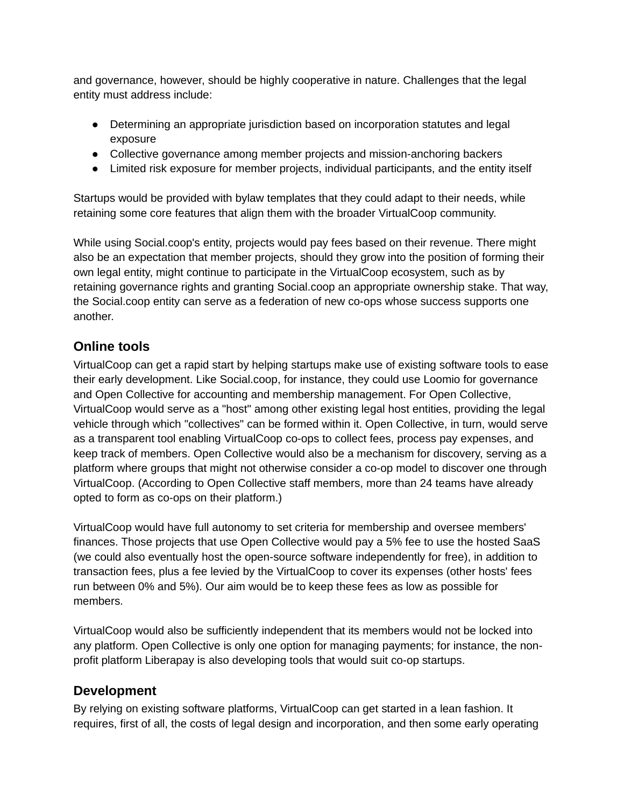and governance, however, should be highly cooperative in nature. Challenges that the legal entity must address include:

- Determining an appropriate jurisdiction based on incorporation statutes and legal exposure
- Collective governance among member projects and mission-anchoring backers
- Limited risk exposure for member projects, individual participants, and the entity itself

Startups would be provided with bylaw templates that they could adapt to their needs, while retaining some core features that align them with the broader VirtualCoop community.

While using Social.coop's entity, projects would pay fees based on their revenue. There might also be an expectation that member projects, should they grow into the position of forming their own legal entity, might continue to participate in the VirtualCoop ecosystem, such as by retaining governance rights and granting Social.coop an appropriate ownership stake. That way, the Social.coop entity can serve as a federation of new co-ops whose success supports one another.

#### **Online tools**

VirtualCoop can get a rapid start by helping startups make use of existing software tools to ease their early development. Like Social.coop, for instance, they could use Loomio for governance and Open Collective for accounting and membership management. For Open Collective, VirtualCoop would serve as a "host" among other existing legal host entities, providing the legal vehicle through which "collectives" can be formed within it. Open Collective, in turn, would serve as a transparent tool enabling VirtualCoop co-ops to collect fees, process pay expenses, and keep track of members. Open Collective would also be a mechanism for discovery, serving as a platform where groups that might not otherwise consider a co-op model to discover one through VirtualCoop. (According to Open Collective staff members, more than 24 teams have already opted to form as co-ops on their platform.)

VirtualCoop would have full autonomy to set criteria for membership and oversee members' finances. Those projects that use Open Collective would pay a 5% fee to use the hosted SaaS (we could also eventually host the open-source software independently for free), in addition to transaction fees, plus a fee levied by the VirtualCoop to cover its expenses (other hosts' fees run between 0% and 5%). Our aim would be to keep these fees as low as possible for members.

VirtualCoop would also be sufficiently independent that its members would not be locked into any platform. Open Collective is only one option for managing payments; for instance, the nonprofit platform Liberapay is also developing tools that would suit co-op startups.

#### **Development**

By relying on existing software platforms, VirtualCoop can get started in a lean fashion. It requires, first of all, the costs of legal design and incorporation, and then some early operating